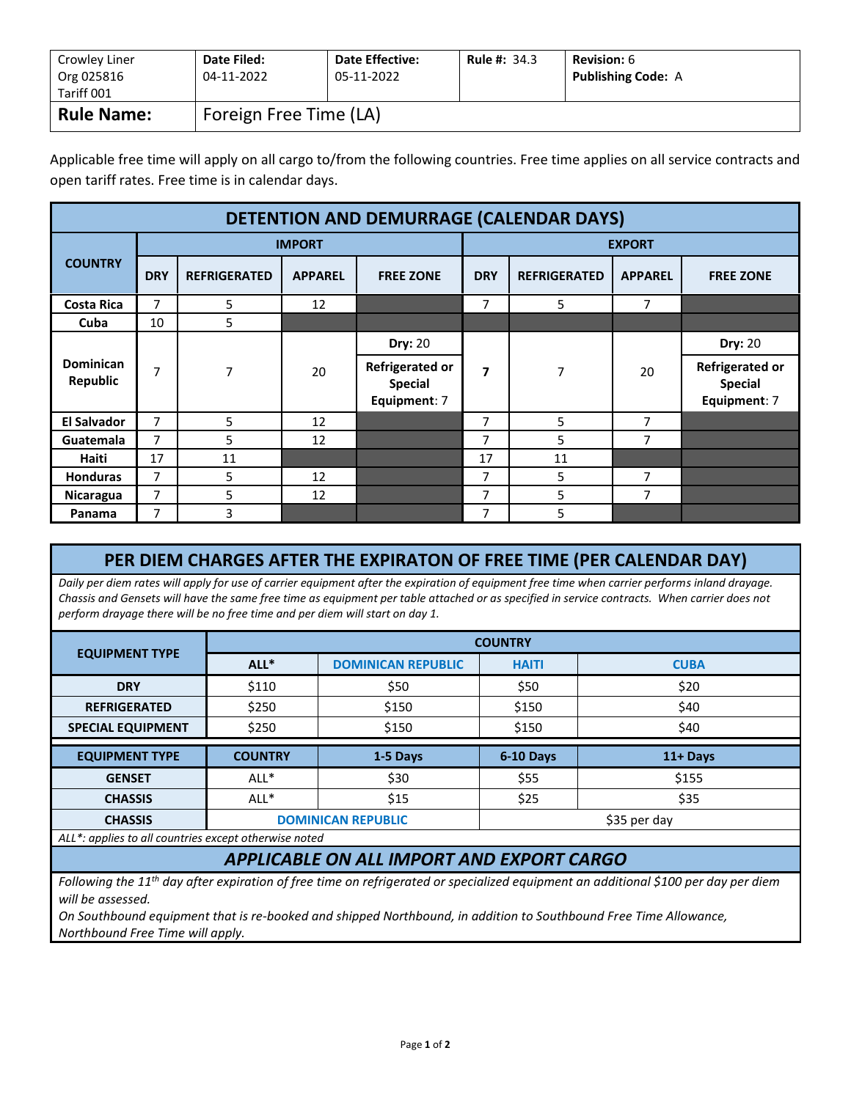| Crowley Liner<br>Org 025816<br>Tariff 001 | Date Filed:<br>04-11-2022 | <b>Date Effective:</b><br>05-11-2022 | <b>Rule #: 34.3</b> | <b>Revision:</b> 6<br><b>Publishing Code: A</b> |  |
|-------------------------------------------|---------------------------|--------------------------------------|---------------------|-------------------------------------------------|--|
| <b>Rule Name:</b>                         | Foreign Free Time (LA)    |                                      |                     |                                                 |  |

Applicable free time will apply on all cargo to/from the following countries. Free time applies on all service contracts and open tariff rates. Free time is in calendar days.

| <b>DETENTION AND DEMURRAGE (CALENDAR DAYS)</b> |                |                     |                |                                                          |                |                     |                |                                                   |
|------------------------------------------------|----------------|---------------------|----------------|----------------------------------------------------------|----------------|---------------------|----------------|---------------------------------------------------|
|                                                | <b>IMPORT</b>  |                     |                | <b>EXPORT</b>                                            |                |                     |                |                                                   |
| <b>COUNTRY</b>                                 | <b>DRY</b>     | <b>REFRIGERATED</b> | <b>APPAREL</b> | <b>FREE ZONE</b>                                         | <b>DRY</b>     | <b>REFRIGERATED</b> | <b>APPAREL</b> | <b>FREE ZONE</b>                                  |
| <b>Costa Rica</b>                              | 7              | 5                   | 12             |                                                          | 7              | 5                   | 7              |                                                   |
| Cuba                                           | 10             | 5                   |                |                                                          |                |                     |                |                                                   |
|                                                |                |                     |                | <b>Dry: 20</b>                                           |                |                     |                | <b>Dry: 20</b>                                    |
| <b>Dominican</b><br><b>Republic</b>            | 7              | 7                   | 20             | <b>Refrigerated or</b><br><b>Special</b><br>Equipment: 7 | 7              | $\overline{7}$      | 20             | Refrigerated or<br><b>Special</b><br>Equipment: 7 |
| <b>El Salvador</b>                             | $\overline{7}$ | 5                   | 12             |                                                          | 7              | 5                   | 7              |                                                   |
| Guatemala                                      | $\overline{7}$ | 5                   | 12             |                                                          | $\overline{7}$ | 5                   | 7              |                                                   |
| Haiti                                          | 17             | 11                  |                |                                                          | 17             | 11                  |                |                                                   |
| <b>Honduras</b>                                | $\overline{7}$ | 5                   | 12             |                                                          | $\overline{7}$ | 5                   | 7              |                                                   |
| Nicaragua                                      | 7              | 5                   | 12             |                                                          | 7              | 5                   | 7              |                                                   |
| Panama                                         | 7              | 3                   |                |                                                          | 7              | 5                   |                |                                                   |

## **PER DIEM CHARGES AFTER THE EXPIRATON OF FREE TIME (PER CALENDAR DAY)**

*Daily per diem rates will apply for use of carrier equipment after the expiration of equipment free time when carrier performs inland drayage. Chassis and Gensets will have the same free time as equipment per table attached or as specified in service contracts. When carrier does not perform drayage there will be no free time and per diem will start on day 1.* 

|                          | <b>COUNTRY</b> |                           |              |              |  |  |
|--------------------------|----------------|---------------------------|--------------|--------------|--|--|
| <b>EQUIPMENT TYPE</b>    | $ALL^*$        | <b>DOMINICAN REPUBLIC</b> | <b>HAITI</b> | <b>CUBA</b>  |  |  |
| <b>DRY</b>               | \$110          | \$50                      | \$50         | \$20         |  |  |
| <b>REFRIGERATED</b>      | \$250          | \$150                     | \$150        | \$40         |  |  |
| <b>SPECIAL EQUIPMENT</b> | \$250          | \$150                     | \$150        | \$40         |  |  |
|                          |                |                           |              |              |  |  |
| <b>EQUIPMENT TYPE</b>    | <b>COUNTRY</b> | 1-5 Days                  | 6-10 Days    | 11+ Days     |  |  |
| <b>GENSET</b>            | ALL*           | \$30                      | \$55         | \$155        |  |  |
| <b>CHASSIS</b>           | ALL*           | \$15                      | \$25         | \$35         |  |  |
| <b>CHASSIS</b>           |                | <b>DOMINICAN REPUBLIC</b> |              | \$35 per day |  |  |

## *APPLICABLE ON ALL IMPORT AND EXPORT CARGO*

*Following the 11th day after expiration of free time on refrigerated or specialized equipment an additional \$100 per day per diem will be assessed.* 

*On Southbound equipment that is re-booked and shipped Northbound, in addition to Southbound Free Time Allowance, Northbound Free Time will apply.*